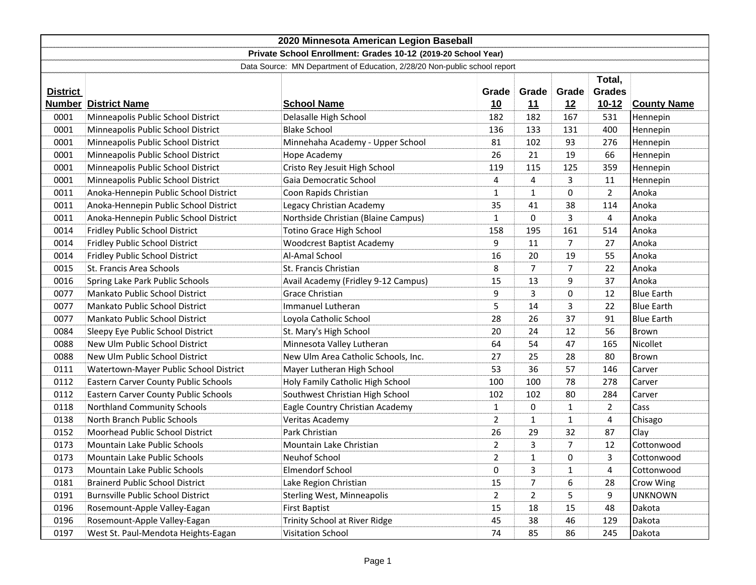| 2020 Minnesota American Legion Baseball                                   |                                             |                                     |                |                |                |                |                    |
|---------------------------------------------------------------------------|---------------------------------------------|-------------------------------------|----------------|----------------|----------------|----------------|--------------------|
| Private School Enrollment: Grades 10-12 (2019-20 School Year)             |                                             |                                     |                |                |                |                |                    |
| Data Source: MN Department of Education, 2/28/20 Non-public school report |                                             |                                     |                |                |                |                |                    |
|                                                                           | Total,                                      |                                     |                |                |                |                |                    |
| <b>District</b>                                                           |                                             |                                     | Grade          | Grade          | Grade          | <b>Grades</b>  |                    |
|                                                                           | <b>Number District Name</b>                 | <b>School Name</b>                  | <u>10</u>      | <u>11</u>      | 12             | $10 - 12$      | <b>County Name</b> |
| 0001                                                                      | Minneapolis Public School District          | Delasalle High School               | 182            | 182            | 167            | 531            | Hennepin           |
| 0001                                                                      | Minneapolis Public School District          | <b>Blake School</b>                 | 136            | 133            | 131            | 400            | Hennepin           |
| 0001                                                                      | Minneapolis Public School District          | Minnehaha Academy - Upper School    | 81             | 102            | 93             | 276            | Hennepin           |
| 0001                                                                      | Minneapolis Public School District          | Hope Academy                        | 26             | 21             | 19             | 66             | Hennepin           |
| 0001                                                                      | Minneapolis Public School District          | Cristo Rey Jesuit High School       | 119            | 115            | 125            | 359            | Hennepin           |
| 0001                                                                      | Minneapolis Public School District          | Gaia Democratic School              | 4              | 4              | 3              | 11             | Hennepin           |
| 0011                                                                      | Anoka-Hennepin Public School District       | Coon Rapids Christian               | $\mathbf{1}$   | $\mathbf{1}$   | 0              | $\overline{2}$ | Anoka              |
| 0011                                                                      | Anoka-Hennepin Public School District       | Legacy Christian Academy            | 35             | 41             | 38             | 114            | Anoka              |
| 0011                                                                      | Anoka-Hennepin Public School District       | Northside Christian (Blaine Campus) | 1              | 0              | 3              | 4              | Anoka              |
| 0014                                                                      | Fridley Public School District              | Totino Grace High School            | 158            | 195            | 161            | 514            | Anoka              |
| 0014                                                                      | Fridley Public School District              | <b>Woodcrest Baptist Academy</b>    | 9              | 11             | $\overline{7}$ | 27             | Anoka              |
| 0014                                                                      | Fridley Public School District              | Al-Amal School                      | 16             | 20             | 19             | 55             | Anoka              |
| 0015                                                                      | St. Francis Area Schools                    | St. Francis Christian               | 8              | $\overline{7}$ | $\overline{7}$ | 22             | Anoka              |
| 0016                                                                      | Spring Lake Park Public Schools             | Avail Academy (Fridley 9-12 Campus) | 15             | 13             | 9              | 37             | Anoka              |
| 0077                                                                      | <b>Mankato Public School District</b>       | <b>Grace Christian</b>              | 9              | 3              | 0              | 12             | <b>Blue Earth</b>  |
| 0077                                                                      | Mankato Public School District              | Immanuel Lutheran                   | 5              | 14             | 3              | 22             | <b>Blue Earth</b>  |
| 0077                                                                      | Mankato Public School District              | Loyola Catholic School              | 28             | 26             | 37             | 91             | <b>Blue Earth</b>  |
| 0084                                                                      | Sleepy Eye Public School District           | St. Mary's High School              | 20             | 24             | 12             | 56             | Brown              |
| 0088                                                                      | New Ulm Public School District              | Minnesota Valley Lutheran           | 64             | 54             | 47             | 165            | Nicollet           |
| 0088                                                                      | New Ulm Public School District              | New Ulm Area Catholic Schools, Inc. | 27             | 25             | 28             | 80             | Brown              |
| 0111                                                                      | Watertown-Mayer Public School District      | Mayer Lutheran High School          | 53             | 36             | 57             | 146            | Carver             |
| 0112                                                                      | Eastern Carver County Public Schools        | Holy Family Catholic High School    | 100            | 100            | 78             | 278            | Carver             |
| 0112                                                                      | <b>Eastern Carver County Public Schools</b> | Southwest Christian High School     | 102            | 102            | 80             | 284            | Carver             |
| 0118                                                                      | <b>Northland Community Schools</b>          | Eagle Country Christian Academy     | 1              | 0              | $\mathbf{1}$   | 2              | Cass               |
| 0138                                                                      | North Branch Public Schools                 | Veritas Academy                     | $\overline{2}$ | $\mathbf{1}$   | $\mathbf{1}$   | 4              | Chisago            |
| 0152                                                                      | Moorhead Public School District             | Park Christian                      | 26             | 29             | 32             | 87             | Clay               |
| 0173                                                                      | <b>Mountain Lake Public Schools</b>         | Mountain Lake Christian             | $\overline{2}$ | 3              | 7              | 12             | Cottonwood         |
| 0173                                                                      | Mountain Lake Public Schools                | Neuhof School                       | $\overline{2}$ | $\mathbf{1}$   | 0              | 3              | Cottonwood         |
| 0173                                                                      | Mountain Lake Public Schools                | <b>Elmendorf School</b>             | 0              | 3              | $\mathbf{1}$   | 4              | Cottonwood         |
| 0181                                                                      | <b>Brainerd Public School District</b>      | Lake Region Christian               | 15             | 7              | 6              | 28             | Crow Wing          |
| 0191                                                                      | <b>Burnsville Public School District</b>    | <b>Sterling West, Minneapolis</b>   | $\overline{2}$ | $\overline{2}$ | 5              | 9              | <b>UNKNOWN</b>     |
| 0196                                                                      | Rosemount-Apple Valley-Eagan                | <b>First Baptist</b>                | 15             | 18             | 15             | 48             | Dakota             |
| 0196                                                                      | Rosemount-Apple Valley-Eagan                | Trinity School at River Ridge       | 45             | 38             | 46             | 129            | Dakota             |
| 0197                                                                      | West St. Paul-Mendota Heights-Eagan         | Visitation School                   | 74             | 85             | 86             | 245            | Dakota             |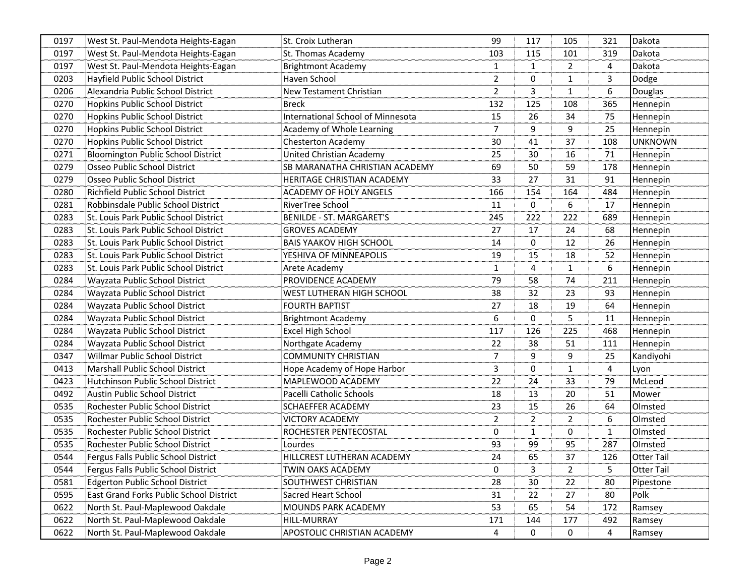| 0197 | West St. Paul-Mendota Heights-Eagan       | <b>St. Croix Lutheran</b>                | 99             | 117            | 105            | 321            | Dakota            |
|------|-------------------------------------------|------------------------------------------|----------------|----------------|----------------|----------------|-------------------|
| 0197 | West St. Paul-Mendota Heights-Eagan       | St. Thomas Academy                       | 103            | 115            | 101            | 319            | Dakota            |
| 0197 | West St. Paul-Mendota Heights-Eagan       | <b>Brightmont Academy</b>                | $\mathbf{1}$   | $\mathbf{1}$   | $\overline{2}$ | $\overline{4}$ | Dakota            |
| 0203 | Hayfield Public School District           | Haven School                             | $\overline{2}$ | $\mathbf 0$    | 1              | 3              | Dodge             |
| 0206 | Alexandria Public School District         | New Testament Christian                  | $\overline{2}$ | 3              | 1              | 6              | Douglas           |
| 0270 | Hopkins Public School District            | <b>Breck</b>                             | 132            | 125            | 108            | 365            | Hennepin          |
| 0270 | Hopkins Public School District            | <b>International School of Minnesota</b> | 15             | 26             | 34             | 75             | Hennepin          |
| 0270 | Hopkins Public School District            | Academy of Whole Learning                | $\overline{7}$ | 9              | 9              | 25             | Hennepin          |
| 0270 | Hopkins Public School District            | <b>Chesterton Academy</b>                | 30             | 41             | 37             | 108            | <b>UNKNOWN</b>    |
| 0271 | <b>Bloomington Public School District</b> | United Christian Academy                 | 25             | 30             | 16             | 71             | Hennepin          |
| 0279 | Osseo Public School District              | SB MARANATHA CHRISTIAN ACADEMY           | 69             | 50             | 59             | 178            | Hennepin          |
| 0279 | Osseo Public School District              | HERITAGE CHRISTIAN ACADEMY               | 33             | 27             | 31             | 91             | Hennepin          |
| 0280 | Richfield Public School District          | <b>ACADEMY OF HOLY ANGELS</b>            | 166            | 154            | 164            | 484            | Hennepin          |
| 0281 | Robbinsdale Public School District        | RiverTree School                         | 11             | $\mathbf 0$    | 6              | 17             | Hennepin          |
| 0283 | St. Louis Park Public School District     | <b>BENILDE - ST. MARGARET'S</b>          | 245            | 222            | 222            | 689            | Hennepin          |
| 0283 | St. Louis Park Public School District     | <b>GROVES ACADEMY</b>                    | 27             | 17             | 24             | 68             | Hennepin          |
| 0283 | St. Louis Park Public School District     | <b>BAIS YAAKOV HIGH SCHOOL</b>           | 14             | $\Omega$       | 12             | 26             | Hennepin          |
| 0283 | St. Louis Park Public School District     | YESHIVA OF MINNEAPOLIS                   | 19             | 15             | 18             | 52             | Hennepin          |
| 0283 | St. Louis Park Public School District     | Arete Academy                            | $\mathbf{1}$   | 4              | $\mathbf{1}$   | 6              | Hennepin          |
| 0284 | Wayzata Public School District            | PROVIDENCE ACADEMY                       | 79             | 58             | 74             | 211            | Hennepin          |
| 0284 | Wayzata Public School District            | WEST LUTHERAN HIGH SCHOOL                | 38             | 32             | 23             | 93             | Hennepin          |
| 0284 | Wayzata Public School District            | <b>FOURTH BAPTIST</b>                    | 27             | 18             | 19             | 64             | Hennepin          |
| 0284 | Wayzata Public School District            | <b>Brightmont Academy</b>                | 6              | $\mathbf 0$    | 5              | 11             | Hennepin          |
| 0284 | Wayzata Public School District            | <b>Excel High School</b>                 | 117            | 126            | 225            | 468            | Hennepin          |
| 0284 | Wayzata Public School District            | Northgate Academy                        | 22             | 38             | 51             | 111            | Hennepin          |
| 0347 | Willmar Public School District            | <b>COMMUNITY CHRISTIAN</b>               | 7              | 9              | 9              | 25             | Kandiyohi         |
| 0413 | Marshall Public School District           | Hope Academy of Hope Harbor              | 3              | $\Omega$       | $\mathbf{1}$   | 4              | Lyon              |
| 0423 | <b>Hutchinson Public School District</b>  | MAPLEWOOD ACADEMY                        | 22             | 24             | 33             | 79             | McLeod            |
| 0492 | <b>Austin Public School District</b>      | Pacelli Catholic Schools                 | 18             | 13             | 20             | 51             | Mower             |
| 0535 | Rochester Public School District          | <b>SCHAEFFER ACADEMY</b>                 | 23             | 15             | 26             | 64             | Olmsted           |
| 0535 | Rochester Public School District          | <b>VICTORY ACADEMY</b>                   | $\overline{2}$ | $\overline{2}$ | $\overline{2}$ | 6              | Olmsted           |
| 0535 | Rochester Public School District          | ROCHESTER PENTECOSTAL                    | $\mathbf 0$    | $\mathbf{1}$   | 0              | $\mathbf{1}$   | Olmsted           |
| 0535 | Rochester Public School District          | Lourdes                                  | 93             | 99             | 95             | 287            | Olmsted           |
| 0544 | Fergus Falls Public School District       | HILLCREST LUTHERAN ACADEMY               | 24             | 65             | 37             | 126            | <b>Otter Tail</b> |
| 0544 | Fergus Falls Public School District       | TWIN OAKS ACADEMY                        | 0              | 3              | $\overline{2}$ | 5              | <b>Otter Tail</b> |
| 0581 | <b>Edgerton Public School District</b>    | SOUTHWEST CHRISTIAN                      | 28             | 30             | 22             | 80             | Pipestone         |
| 0595 | East Grand Forks Public School District   | <b>Sacred Heart School</b>               | 31             | 22             | 27             | 80             | Polk              |
| 0622 | North St. Paul-Maplewood Oakdale          | MOUNDS PARK ACADEMY                      | 53             | 65             | 54             | 172            | Ramsey            |
| 0622 | North St. Paul-Maplewood Oakdale          | HILL-MURRAY                              | 171            | 144            | 177            | 492            | Ramsey            |
| 0622 | North St. Paul-Maplewood Oakdale          | APOSTOLIC CHRISTIAN ACADEMY              | 4              | 0              | 0              | 4              | Ramsey            |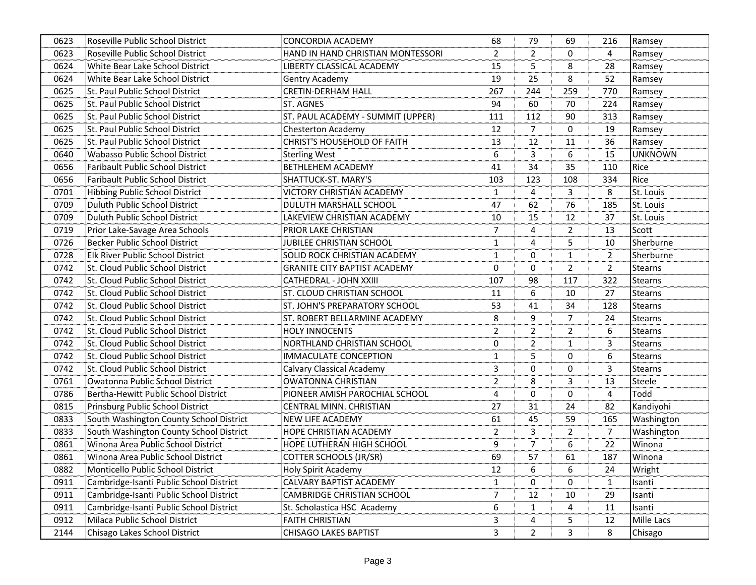| 0623 | Roseville Public School District        | <b>CONCORDIA ACADEMY</b>            | 68             | 79             | 69             | 216            | Ramsey         |
|------|-----------------------------------------|-------------------------------------|----------------|----------------|----------------|----------------|----------------|
| 0623 | Roseville Public School District        | HAND IN HAND CHRISTIAN MONTESSORI   | $\overline{2}$ | $\overline{2}$ | $\Omega$       | 4              | Ramsey         |
| 0624 | White Bear Lake School District         | LIBERTY CLASSICAL ACADEMY           | 15             | 5              | 8              | 28             | Ramsey         |
| 0624 | White Bear Lake School District         | Gentry Academy                      | 19             | 25             | 8              | 52             | Ramsey         |
| 0625 | St. Paul Public School District         | <b>CRETIN-DERHAM HALL</b>           | 267            | 244            | 259            | 770            | Ramsey         |
| 0625 | St. Paul Public School District         | ST. AGNES                           | 94             | 60             | 70             | 224            | Ramsey         |
| 0625 | St. Paul Public School District         | ST. PAUL ACADEMY - SUMMIT (UPPER)   | 111            | 112            | 90             | 313            | Ramsey         |
| 0625 | St. Paul Public School District         | Chesterton Academy                  | 12             | $\overline{7}$ | $\Omega$       | 19             | Ramsey         |
| 0625 | St. Paul Public School District         | <b>CHRIST'S HOUSEHOLD OF FAITH</b>  | 13             | 12             | 11             | 36             | Ramsey         |
| 0640 | Wabasso Public School District          | <b>Sterling West</b>                | 6              | 3              | 6              | 15             | <b>UNKNOWN</b> |
| 0656 | <b>Faribault Public School District</b> | <b>BETHLEHEM ACADEMY</b>            | 41             | 34             | 35             | 110            | Rice           |
| 0656 | <b>Faribault Public School District</b> | SHATTUCK-ST. MARY'S                 | 103            | 123            | 108            | 334            | Rice           |
| 0701 | <b>Hibbing Public School District</b>   | <b>VICTORY CHRISTIAN ACADEMY</b>    | $\mathbf{1}$   | 4              | 3              | 8              | St. Louis      |
| 0709 | Duluth Public School District           | DULUTH MARSHALL SCHOOL              | 47             | 62             | 76             | 185            | St. Louis      |
| 0709 | Duluth Public School District           | LAKEVIEW CHRISTIAN ACADEMY          | 10             | 15             | 12             | 37             | St. Louis      |
| 0719 | Prior Lake-Savage Area Schools          | PRIOR LAKE CHRISTIAN                | 7              | 4              | $\overline{2}$ | 13             | Scott          |
| 0726 | <b>Becker Public School District</b>    | JUBILEE CHRISTIAN SCHOOL            | $\mathbf{1}$   | 4              | 5              | 10             | Sherburne      |
| 0728 | Elk River Public School District        | SOLID ROCK CHRISTIAN ACADEMY        | $\mathbf{1}$   | 0              | 1              | $\overline{2}$ | Sherburne      |
| 0742 | St. Cloud Public School District        | <b>GRANITE CITY BAPTIST ACADEMY</b> | 0              | $\Omega$       | $\overline{2}$ | $\overline{2}$ | <b>Stearns</b> |
| 0742 | St. Cloud Public School District        | CATHEDRAL - JOHN XXIII              | 107            | 98             | 117            | 322            | <b>Stearns</b> |
| 0742 | St. Cloud Public School District        | ST. CLOUD CHRISTIAN SCHOOL          | 11             | 6              | 10             | 27             | <b>Stearns</b> |
| 0742 | St. Cloud Public School District        | ST. JOHN'S PREPARATORY SCHOOL       | 53             | 41             | 34             | 128            | <b>Stearns</b> |
| 0742 | St. Cloud Public School District        | ST. ROBERT BELLARMINE ACADEMY       | 8              | 9              | $\overline{7}$ | 24             | <b>Stearns</b> |
| 0742 | St. Cloud Public School District        | <b>HOLY INNOCENTS</b>               | $\overline{2}$ | $\overline{2}$ | $\overline{2}$ | 6              | <b>Stearns</b> |
| 0742 | St. Cloud Public School District        | NORTHLAND CHRISTIAN SCHOOL          | $\Omega$       | $\overline{2}$ | 1              | 3              | <b>Stearns</b> |
| 0742 | St. Cloud Public School District        | <b>IMMACULATE CONCEPTION</b>        | 1              | 5              | 0              | 6              | <b>Stearns</b> |
| 0742 | St. Cloud Public School District        | <b>Calvary Classical Academy</b>    | 3              | $\Omega$       | $\Omega$       | 3              | <b>Stearns</b> |
| 0761 | Owatonna Public School District         | <b>OWATONNA CHRISTIAN</b>           | $\overline{2}$ | 8              | 3              | 13             | <b>Steele</b>  |
| 0786 | Bertha-Hewitt Public School District    | PIONEER AMISH PAROCHIAL SCHOOL      | 4              | $\Omega$       | 0              | 4              | Todd           |
| 0815 | Prinsburg Public School District        | CENTRAL MINN. CHRISTIAN             | 27             | 31             | 24             | 82             | Kandiyohi      |
| 0833 | South Washington County School District | <b>NEW LIFE ACADEMY</b>             | 61             | 45             | 59             | 165            | Washington     |
| 0833 | South Washington County School District | HOPE CHRISTIAN ACADEMY              | $\overline{2}$ | 3              | $\overline{2}$ | $\overline{7}$ | Washington     |
| 0861 | Winona Area Public School District      | HOPE LUTHERAN HIGH SCHOOL           | 9              | $\overline{7}$ | 6              | 22             | Winona         |
| 0861 | Winona Area Public School District      | <b>COTTER SCHOOLS (JR/SR)</b>       | 69             | 57             | 61             | 187            | Winona         |
| 0882 | Monticello Public School District       | Holy Spirit Academy                 | 12             | 6              | 6              | 24             | Wright         |
| 0911 | Cambridge-Isanti Public School District | CALVARY BAPTIST ACADEMY             | $\mathbf{1}$   | 0              | 0              | 1              | Isanti         |
| 0911 | Cambridge-Isanti Public School District | CAMBRIDGE CHRISTIAN SCHOOL          | 7              | 12             | 10             | 29             | Isanti         |
| 0911 | Cambridge-Isanti Public School District | St. Scholastica HSC Academy         | 6              | 1              | 4              | 11             | Isanti         |
| 0912 | Milaca Public School District           | <b>FAITH CHRISTIAN</b>              | 3              | 4              | 5              | 12             | Mille Lacs     |
| 2144 | Chisago Lakes School District           | <b>CHISAGO LAKES BAPTIST</b>        | 3              | $\overline{2}$ | 3              | 8              | Chisago        |